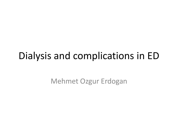### Dialysis and complications in ED

Mehmet Ozgur Erdogan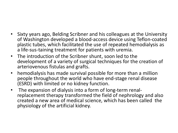- Sixty years ago, Belding Scribner and his colleagues at the University of Washington developed a blood-access device using Teflon-coated plastic tubes, which facilitated the use of repeated hemodialysis as a life-sus-taining treatment for patients with uremia.
- The introduction of the Scribner shunt, soon led to the development of a variety of surgical techniques for the creation of arteriovenous fistulas and grafts.
- hemodialysis has made survival possible for more than a million people throughout the world who have end-stage renal disease (ESRD) with limited or no kidney function.
- The expansion of dialysis into a form of long-term renalreplacement therapy transformed the field of nephrology and also created a new area of medical science, which has been called the physiology of the artificial kidney.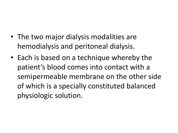- The two major dialysis modalities are hemodialysis and peritoneal dialysis.
- Each is based on a technique whereby the patient's blood comes into contact with a semipermeable membrane on the other side of which is a specially constituted balanced physiologic solution.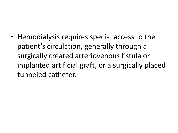• Hemodialysis requires special access to the patient's circulation, generally through a surgically created arteriovenous fistula or implanted artificial graft, or a surgically placed tunneled catheter.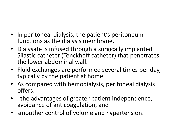- In peritoneal dialysis, the patient's peritoneum functions as the dialysis membrane.
- Dialysate is infused through a surgically implanted Silastic catheter (Tenckhoff catheter) that penetrates the lower abdominal wall.
- Fluid exchanges are performed several times per day, typically by the patient at home.
- As compared with hemodialysis, peritoneal dialysis offers:
- the advantages of greater patient independence, avoidance of anticoagulation, and
- smoother control of volume and hypertension.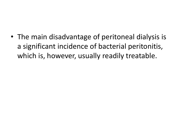• The main disadvantage of peritoneal dialysis is a significant incidence of bacterial peritonitis, which is, however, usually readily treatable.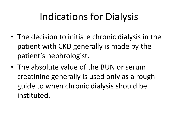# Indications for Dialysis

- The decision to initiate chronic dialysis in the patient with CKD generally is made by the patient's nephrologist.
- The absolute value of the BUN or serum creatinine generally is used only as a rough guide to when chronic dialysis should be instituted.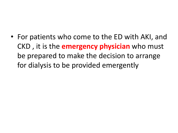• For patients who come to the ED with AKI, and CKD , it is the **emergency physician** who must be prepared to make the decision to arrange for dialysis to be provided emergently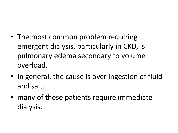- The most common problem requiring emergent dialysis, particularly in CKD, is pulmonary edema secondary to volume overload.
- In general, the cause is over ingestion of fluid and salt.
- many of these patients require immediate dialysis.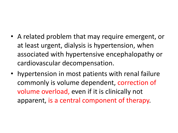- A related problem that may require emergent, or at least urgent, dialysis is hypertension, when associated with hypertensive encephalopathy or cardiovascular decompensation.
- hypertension in most patients with renal failure commonly is volume dependent, correction of volume overload, even if it is clinically not apparent, is a central component of therapy.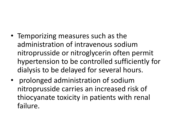- Temporizing measures such as the administration of intravenous sodium nitroprusside or nitroglycerin often permit hypertension to be controlled sufficiently for dialysis to be delayed for several hours.
- prolonged administration of sodium nitroprusside carries an increased risk of thiocyanate toxicity in patients with renal failure.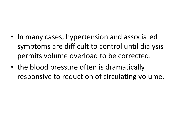- In many cases, hypertension and associated symptoms are difficult to control until dialysis permits volume overload to be corrected.
- the blood pressure often is dramatically responsive to reduction of circulating volume.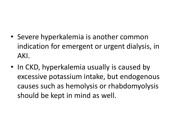- Severe hyperkalemia is another common indication for emergent or urgent dialysis, in AKI.
- In CKD, hyperkalemia usually is caused by excessive potassium intake, but endogenous causes such as hemolysis or rhabdomyolysis should be kept in mind as well.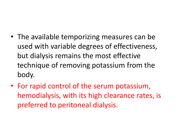- The available temporizing measures can be used with variable degrees of effectiveness, but dialysis remains the most effective technique of removing potassium from the body.
- For rapid control of the serum potassium, hemodialysis, with its high clearance rates, is preferred to peritoneal dialysis.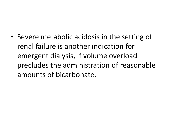• Severe metabolic acidosis in the setting of renal failure is another indication for emergent dialysis, if volume overload precludes the administration of reasonable amounts of bicarbonate.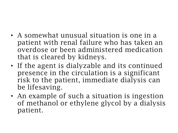- A somewhat unusual situation is one in a patient with renal failure who has taken an overdose or been administered medication that is cleared by kidneys.
- If the agent is dialyzable and its continued presence in the circulation is a significant risk to the patient, immediate dialysis can be lifesaving.
- An example of such a situation is ingestion of methanol or ethylene glycol by a dialysis patient.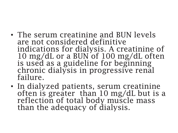- The serum creatinine and BUN levels are not considered definitive indications for dialysis. A creatinine of 10 mg/dL or a BUN of 100 mg/dL often is used as a guideline for beginning chronic dialysis in progressive renal failure.
- In dialyzed patients, serum creatinine often is greater than 10 mg/dL but is a reflection of total body muscle mass than the adequacy of dialysis.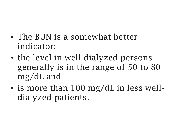- The BUN is a somewhat better indicator;
- the level in well-dialyzed persons generally is in the range of 50 to 80 mg/dL and
- is more than 100 mg/dL in less welldialyzed patients.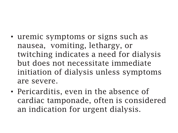- uremic symptoms or signs such as nausea, vomiting, lethargy, or twitching indicates a need for dialysis but does not necessitate immediate initiation of dialysis unless symptoms are severe.
- Pericarditis, even in the absence of cardiac tamponade, often is considered an indication for urgent dialysis.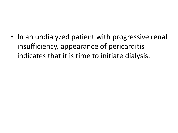• In an undialyzed patient with progressive renal insufficiency, appearance of pericarditis indicates that it is time to initiate dialysis.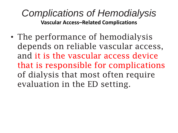#### *Complications of Hemodialysis* **Vascular Access–Related Complications**

• The performance of hemodialysis depends on reliable vascular access, and it is the vascular access device that is responsible for complications of dialysis that most often require evaluation in the ED setting.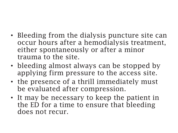- Bleeding from the dialysis puncture site can occur hours after a hemodialysis treatment, either spontaneously or after a minor trauma to the site.
- bleeding almost always can be stopped by applying firm pressure to the access site.
- the presence of a thrill immediately must be evaluated after compression.
- It may be necessary to keep the patient in the ED for a time to ensure that bleeding does not recur.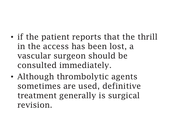- if the patient reports that the thrill in the access has been lost, a vascular surgeon should be consulted immediately.
- Although thrombolytic agents sometimes are used, definitive treatment generally is surgical revision.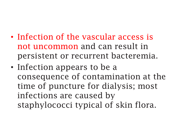- Infection of the vascular access is not uncommon and can result in persistent or recurrent bacteremia.
- Infection appears to be a consequence of contamination at the time of puncture for dialysis; most infections are caused by staphylococci typical of skin flora.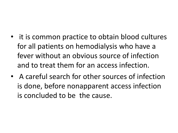- it is common practice to obtain blood cultures for all patients on hemodialysis who have a fever without an obvious source of infection and to treat them for an access infection.
- A careful search for other sources of infection is done, before nonapparent access infection is concluded to be the cause.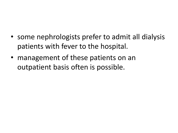- some nephrologists prefer to admit all dialysis patients with fever to the hospital.
- management of these patients on an outpatient basis often is possible.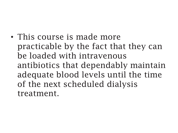• This course is made more practicable by the fact that they can be loaded with intravenous antibiotics that dependably maintain adequate blood levels until the time of the next scheduled dialysis treatment.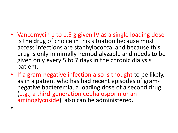- Vancomycin 1 to 1.5 g given IV as a single loading dose is the drug of choice in this situation because most access infections are staphylococcal and because this drug is only minimally hemodialyzable and needs to be given only every 5 to 7 days in the chronic dialysis patient.
- If a gram-negative infection also is thought to be likely, as in a patient who has had recent episodes of gramnegative bacteremia, a loading dose of a second drug (e.g., a third-generation cephalosporin or an aminoglycoside) also can be administered.

•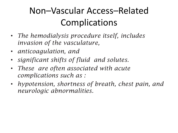# Non–Vascular Access–Related Complications

- *The hemodialysis procedure itself, includes invasion of the vasculature,*
- *anticoagulation, and*
- *significant shifts of fluid and solutes.*
- *These are often associated with acute complications such as :*
- *hypotension, shortness of breath, chest pain, and neurologic abnormalities.*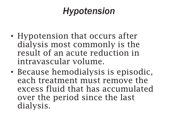### *Hypotension*

- Hypotension that occurs after dialysis most commonly is the result of an acute reduction in intravascular volume.
- Because hemodialysis is episodic, each treatment must remove the excess fluid that has accumulated over the period since the last dialysis.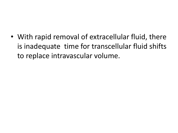• With rapid removal of extracellular fluid, there is inadequate time for transcellular fluid shifts to replace intravascular volume.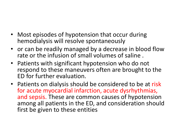- Most episodes of hypotension that occur during hemodialysis will resolve spontaneously
- or can be readily managed by a decrease in blood flow rate or the infusion of small volumes of saline .
- Patients with significant hypotension who do not respond to these maneuvers often are brought to the ED for further evaluation.
- Patients on dialysis should be considered to be at risk for acute myocardial infarction, acute dysrhythmias, and sepsis. These are common causes of hypotension among all patients in the ED, and consideration should first be given to these entities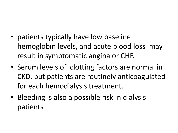- patients typically have low baseline hemoglobin levels, and acute blood loss may result in symptomatic angina or CHF.
- Serum levels of clotting factors are normal in CKD, but patients are routinely anticoagulated for each hemodialysis treatment.
- Bleeding is also a possible risk in dialysis patients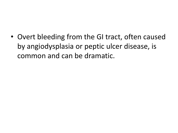• Overt bleeding from the GI tract, often caused by angiodysplasia or peptic ulcer disease, is common and can be dramatic.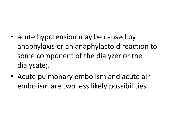- acute hypotension may be caused by anaphylaxis or an anaphylactoid reaction to some component of the dialyzer or the dialysate;.
- Acute pulmonary embolism and acute air embolism are two less likely possibilities.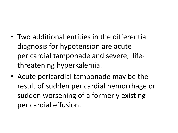- Two additional entities in the differential diagnosis for hypotension are acute pericardial tamponade and severe, lifethreatening hyperkalemia.
- Acute pericardial tamponade may be the result of sudden pericardial hemorrhage or sudden worsening of a formerly existing pericardial effusion.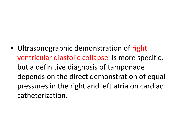• Ultrasonographic demonstration of right ventricular diastolic collapse is more specific, but a definitive diagnosis of tamponade depends on the direct demonstration of equal pressures in the right and left atria on cardiac catheterization.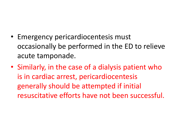- Emergency pericardiocentesis must occasionally be performed in the ED to relieve acute tamponade.
- Similarly, in the case of a dialysis patient who is in cardiac arrest, pericardiocentesis generally should be attempted if initial resuscitative efforts have not been successful.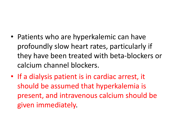- Patients who are hyperkalemic can have profoundly slow heart rates, particularly if they have been treated with beta-blockers or calcium channel blockers.
- If a dialysis patient is in cardiac arrest, it should be assumed that hyperkalemia is present, and intravenous calcium should be given immediately.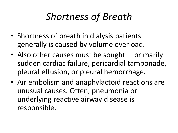# *Shortness of Breath*

- Shortness of breath in dialysis patients generally is caused by volume overload.
- Also other causes must be sought primarily sudden cardiac failure, pericardial tamponade, pleural effusion, or pleural hemorrhage.
- Air embolism and anaphylactoid reactions are unusual causes. Often, pneumonia or underlying reactive airway disease is responsible.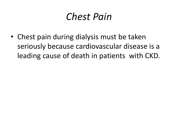# *Chest Pain*

• Chest pain during dialysis must be taken seriously because cardiovascular disease is a leading cause of death in patients with CKD.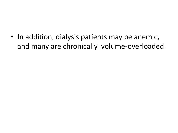• In addition, dialysis patients may be anemic, and many are chronically volume-overloaded.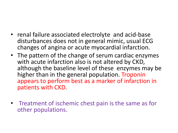- renal failure associated electrolyte and acid-base disturbances does not in general mimic, usual ECG changes of angina or acute myocardial infarction.
- The pattern of the change of serum cardiac enzymes with acute infarction also is not altered by CKD, although the baseline level of these enzymes may be higher than in the general population. Troponin appears to perform best as a marker of infarction in patients with CKD.
- Treatment of ischemic chest pain is the same as for other populations.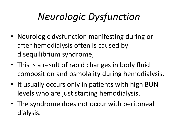# *Neurologic Dysfunction*

- Neurologic dysfunction manifesting during or after hemodialysis often is caused by disequilibrium syndrome,
- This is a result of rapid changes in body fluid composition and osmolality during hemodialysis.
- It usually occurs only in patients with high BUN levels who are just starting hemodialysis.
- The syndrome does not occur with peritoneal dialysis.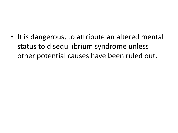• It is dangerous, to attribute an altered mental status to disequilibrium syndrome unless other potential causes have been ruled out.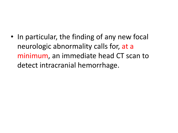• In particular, the finding of any new focal neurologic abnormality calls for, at a minimum, an immediate head CT scan to detect intracranial hemorrhage.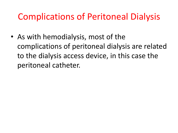#### Complications of Peritoneal Dialysis

• As with hemodialysis, most of the complications of peritoneal dialysis are related to the dialysis access device, in this case the peritoneal catheter.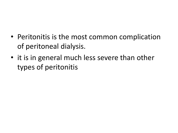- Peritonitis is the most common complication of peritoneal dialysis.
- it is in general much less severe than other types of peritonitis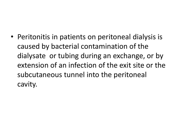• Peritonitis in patients on peritoneal dialysis is caused by bacterial contamination of the dialysate or tubing during an exchange, or by extension of an infection of the exit site or the subcutaneous tunnel into the peritoneal cavity.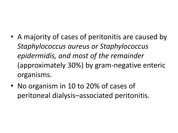- A majority of cases of peritonitis are caused by *Staphylococcus aureus or Staphylococcus epidermidis, and most of the remainder* (approximately 30%) by gram-negative enteric organisms.
- No organism in 10 to 20% of cases of peritoneal dialysis–associated peritonitis.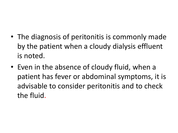- The diagnosis of peritonitis is commonly made by the patient when a cloudy dialysis effluent is noted.
- Even in the absence of cloudy fluid, when a patient has fever or abdominal symptoms, it is advisable to consider peritonitis and to check the fluid.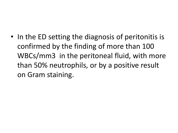• In the ED setting the diagnosis of peritonitis is confirmed by the finding of more than 100 WBCs/mm3 in the peritoneal fluid, with more than 50% neutrophils, or by a positive result on Gram staining.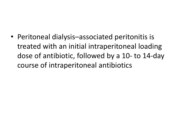• Peritoneal dialysis–associated peritonitis is treated with an initial intraperitoneal loading dose of antibiotic, followed by a 10- to 14-day course of intraperitoneal antibiotics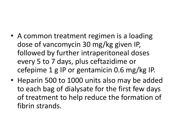- A common treatment regimen is a loading dose of vancomycin 30 mg/kg given IP, followed by further intraperitoneal doses every 5 to 7 days, plus ceftazidime or cefepime 1 g IP or gentamicin 0.6 mg/kg IP.
- Heparin 500 to 1000 units also may be added to each bag of dialysate for the first few days of treatment to help reduce the formation of fibrin strands.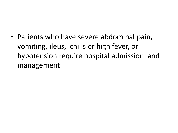• Patients who have severe abdominal pain, vomiting, ileus, chills or high fever, or hypotension require hospital admission and management.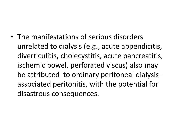• The manifestations of serious disorders unrelated to dialysis (e.g., acute appendicitis, diverticulitis, cholecystitis, acute pancreatitis, ischemic bowel, perforated viscus) also may be attributed to ordinary peritoneal dialysis– associated peritonitis, with the potential for disastrous consequences.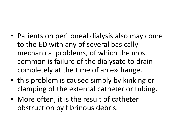- Patients on peritoneal dialysis also may come to the ED with any of several basically mechanical problems, of which the most common is failure of the dialysate to drain completely at the time of an exchange.
- this problem is caused simply by kinking or clamping of the external catheter or tubing.
- More often, it is the result of catheter obstruction by fibrinous debris.